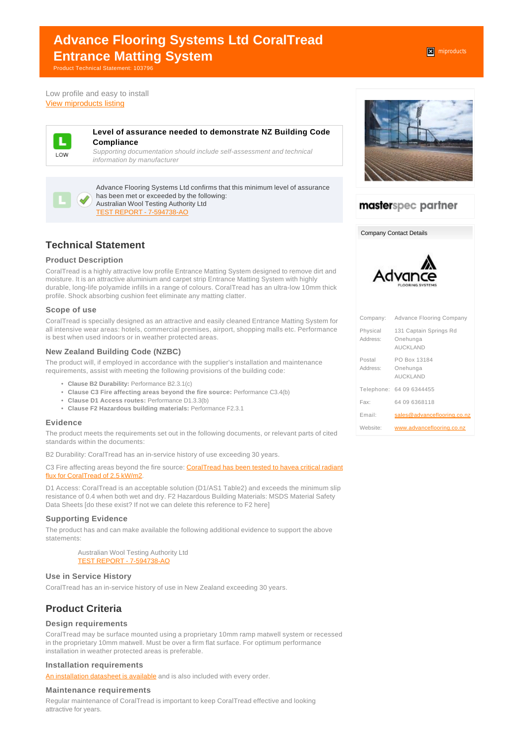# **Advance Flooring Systems Ltd CoralTread Entrance Matting System**

Product Technical Statement: 103796

Low profile and easy to install [View miproducts listing](https://www.miproducts.co.nz/Search/0/0/Advance-Flooring-Systems-Ltd-CoralTread-Entrance-Matting-System-i1fd85f34-a0e9-449f-9e36-ed3ce1fca81a-6400.htm)



#### **Level of assurance needed to demonstrate NZ Building Code Compliance**

Supporting documentation should include self-assessment and technical information by manufacturer

Advance Flooring Systems Ltd confirms that this minimum level of assurance has been met or exceeded by the following: Australian Wool Testing Authority Ltd [TEST REPORT - 7-594738-AO](websupergoo:/link-16622.htm)

# **Technical Statement**

### **Product Description**

CoralTread is a highly attractive low profile Entrance Matting System designed to remove dirt and moisture. It is an attractive aluminium and carpet strip Entrance Matting System with highly durable, long-life polyamide infills in a range of colours. CoralTread has an ultra-low 10mm thick profile. Shock absorbing cushion feet eliminate any matting clatter.

### **Scope of use**

CoralTread is specially designed as an attractive and easily cleaned Entrance Matting System for all intensive wear areas: hotels, commercial premises, airport, shopping malls etc. Performance is best when used indoors or in weather protected areas.

#### **New Zealand Building Code (NZBC)**

The product will, if employed in accordance with the supplier's installation and maintenance requirements, assist with meeting the following provisions of the building code:

- **Clause B2 Durability:** Performance B2.3.1(c)
- **Clause C3 Fire affecting areas beyond the fire source:** Performance C3.4(b)
- **Clause D1 Access routes:** Performance D1.3.3(b)
- **Clause F2 Hazardous building materials:** Performance F2.3.1

#### **Evidence**

The product meets the requirements set out in the following documents, or relevant parts of cited standards within the documents:

B2 Durability: CoralTread has an in-service history of use exceeding 30 years.

C3 Fire affecting areas beyond the fire source: [CoralTread has been tested to havea critical radiant](http://www.advanceflooringsystems.com/wp-content/uploads/CoralTread-Fire-Certificate.pdf) [flux for CoralTread of 2.5 kW/m2.](http://www.advanceflooringsystems.com/wp-content/uploads/CoralTread-Fire-Certificate.pdf)

D1 Access: CoralTread is an acceptable solution (D1/AS1 Table2) and exceeds the minimum slip resistance of 0.4 when both wet and dry. F2 Hazardous Building Materials: MSDS Material Safety Data Sheets [do these exist? If not we can delete this reference to F2 here]

### **Supporting Evidence**

The product has and can make available the following additional evidence to support the above statements:

> Australian Wool Testing Authority Ltd [TEST REPORT - 7-594738-AO](websupergoo:/link-16622.htm)

### **Use in Service History**

CoralTread has an in-service history of use in New Zealand exceeding 30 years.

# **Product Criteria**

### **Design requirements**

CoralTread may be surface mounted using a proprietary 10mm ramp matwell system or recessed in the proprietary 10mm matwell. Must be over a firm flat surface. For optimum performance installation in weather protected areas is preferable.

#### **Installation requirements**

[An installation datasheet is available](http://www.advanceflooringsystems.com/wp-content/uploads/Installation-CoralTread.pdf) and is also included with every order.

#### **Maintenance requirements**

Regular maintenance of CoralTread is important to keep CoralTread effective and looking attractive for years.



# masterspec partner

Company Contact Details



|                      | Company: Advance Flooring Company                     |
|----------------------|-------------------------------------------------------|
| Physical<br>Address: | 131 Captain Springs Rd<br>Onehunga<br><b>AUCKLAND</b> |
| Postal<br>Address:   | PO Box 13184<br>Onehunga<br><b>AUCKLAND</b>           |
|                      | Telephone: 64 09 6344455                              |
| Fax:                 | 64 09 6368118                                         |
| Email:               | sales@advanceflooring.co.nz                           |
| Website:             | www.advanceflooring.co.nz                             |